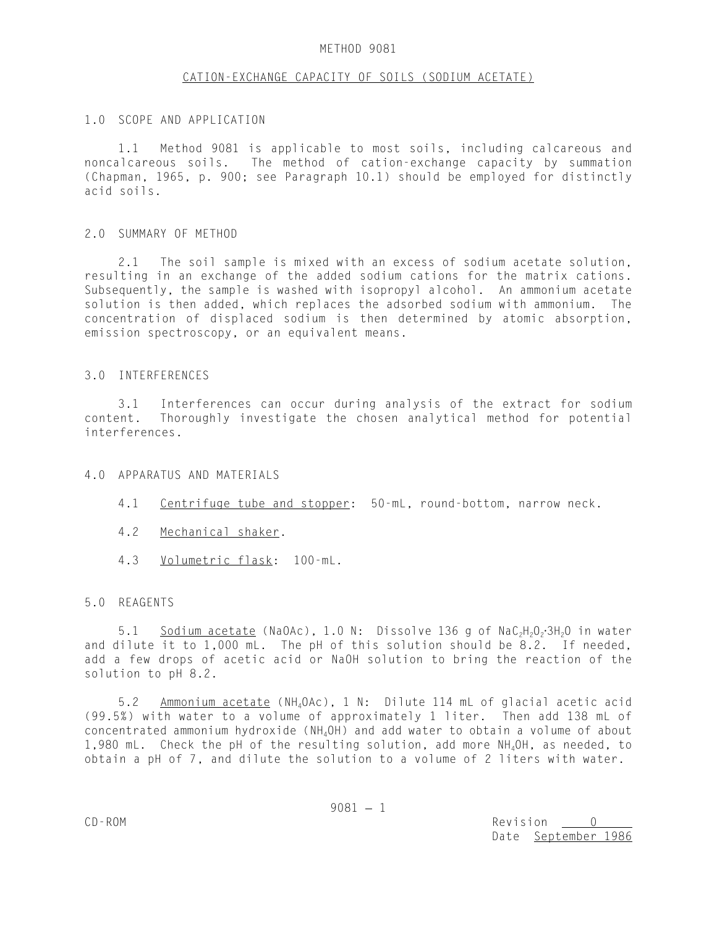## METHOD 9081

## CATION-EXCHANGE CAPACITY OF SOILS (SODIUM ACETATE)

## 1.0 SCOPE AND APPLICATION

1.1 Method 9081 is applicable to most soils, including calcareous and noncalcareous soils. The method of cation-exchange capacity by summation (Chapman, 1965, p. 900; see Paragraph 10.1) should be employed for distinctly acid soils.

## 2.0 SUMMARY OF METHOD

2.1 The soil sample is mixed with an excess of sodium acetate solution, resulting in an exchange of the added sodium cations for the matrix cations. Subsequently, the sample is washed with isopropyl alcohol. An ammonium acetate solution is then added, which replaces the adsorbed sodium with ammonium. The concentration of displaced sodium is then determined by atomic absorption, emission spectroscopy, or an equivalent means.

## 3.0 INTERFERENCES

3.1 Interferences can occur during analysis of the extract for sodium content. Thoroughly investigate the chosen analytical method for potential interferences.

## 4.0 APPARATUS AND MATERIALS

- 4.1 Centrifuge tube and stopper: 50-mL, round-bottom, narrow neck.
- 4.2 Mechanical shaker.
- 4.3 Volumetric flask: 100-mL.

## 5.0 REAGENTS

5.1 Sodium acetate (NaOAc), 1.0 N: Dissolve 136 g of  $\text{NaC}_2\text{H}_2\text{O}_2\cdot\text{3H}_2$ O in water and dilute it to 1,000 mL. The pH of this solution should be 8.2. If needed, add a few drops of acetic acid or NaOH solution to bring the reaction of the solution to pH 8.2.

5.2 Ammonium acetate (NH4OAc), 1 N: Dilute 114 mL of glacial acetic acid (99.5%) with water to a volume of approximately 1 liter. Then add 138 mL of concentrated ammonium hydroxide (NH4OH) and add water to obtain a volume of about 1,980 mL. Check the pH of the resulting solution, add more NH<sub>4</sub>OH, as needed, to obtain a pH of 7, and dilute the solution to a volume of 2 liters with water.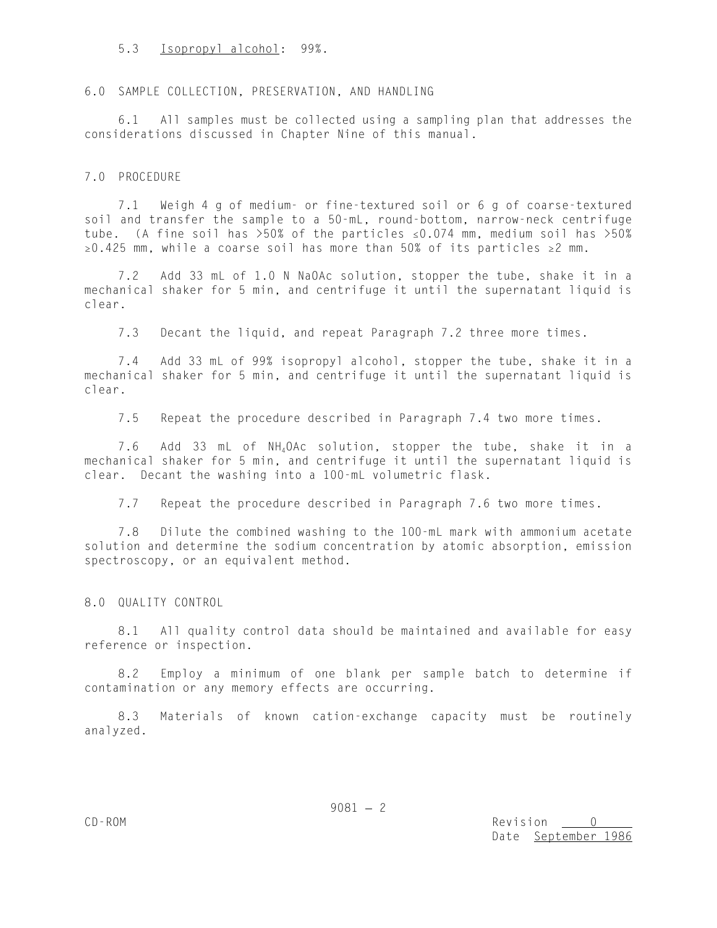## 5.3 Isopropyl alcohol: 99%.

## 6.0 SAMPLE COLLECTION, PRESERVATION, AND HANDLING

6.1 All samples must be collected using a sampling plan that addresses the considerations discussed in Chapter Nine of this manual.

### 7.0 PROCEDURE

7.1 Weigh 4 g of medium- or fine-textured soil or 6 g of coarse-textured soil and transfer the sample to a 50-mL, round-bottom, narrow-neck centrifuge tube. (A fine soil has  $>50\%$  of the particles  $\leq 0.074$  mm, medium soil has  $>50\%$  $\geq$ 0.425 mm, while a coarse soil has more than 50% of its particles  $\geq$ 2 mm.

7.2 Add 33 mL of 1.0 N NaOAc solution, stopper the tube, shake it in a mechanical shaker for 5 min, and centrifuge it until the supernatant liquid is clear.

7.3 Decant the liquid, and repeat Paragraph 7.2 three more times.

7.4 Add 33 mL of 99% isopropyl alcohol, stopper the tube, shake it in a mechanical shaker for 5 min, and centrifuge it until the supernatant liquid is clear.

7.5 Repeat the procedure described in Paragraph 7.4 two more times.

7.6 Add 33 mL of NH4OAc solution, stopper the tube, shake it in a mechanical shaker for 5 min, and centrifuge it until the supernatant liquid is clear. Decant the washing into a 100-mL volumetric flask.

7.7 Repeat the procedure described in Paragraph 7.6 two more times.

7.8 Dilute the combined washing to the 100-mL mark with ammonium acetate solution and determine the sodium concentration by atomic absorption, emission spectroscopy, or an equivalent method.

#### 8.0 QUALITY CONTROL

8.1 All quality control data should be maintained and available for easy reference or inspection.

8.2 Employ a minimum of one blank per sample batch to determine if contamination or any memory effects are occurring.

8.3 Materials of known cation-exchange capacity must be routinely analyzed.

 $9081 - 2$ 

CD-ROM Revision 0 Date September 1986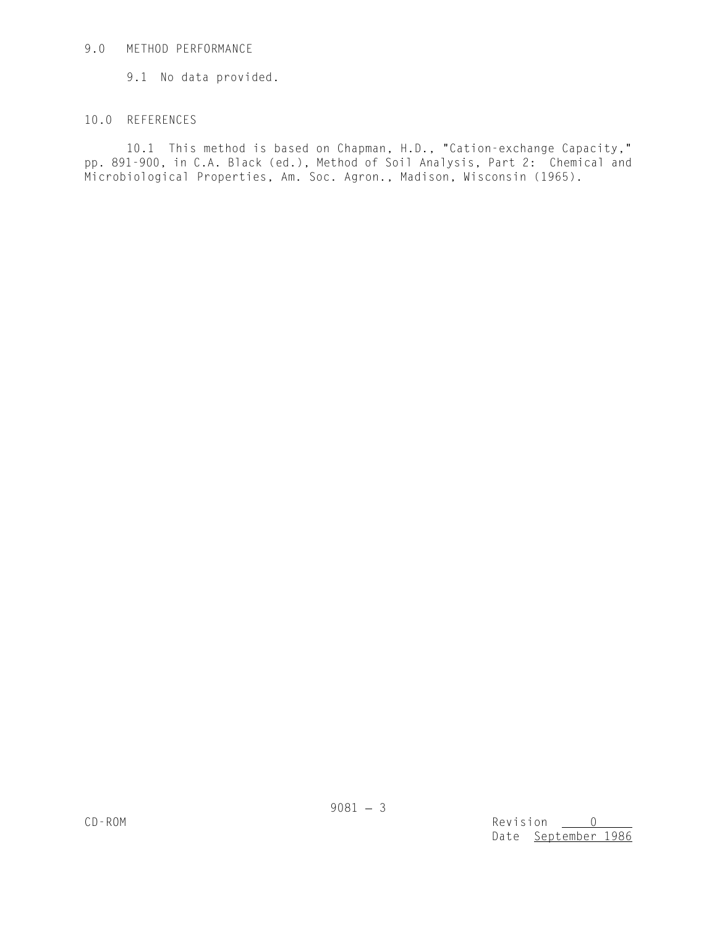# 9.0 METHOD PERFORMANCE

9.1 No data provided.

# 10.0 REFERENCES

10.1 This method is based on Chapman, H.D., "Cation-exchange Capacity," pp. 891-900, in C.A. Black (ed.), Method of Soil Analysis, Part 2: Chemical and Microbiological Properties, Am. Soc. Agron., Madison, Wisconsin (1965).